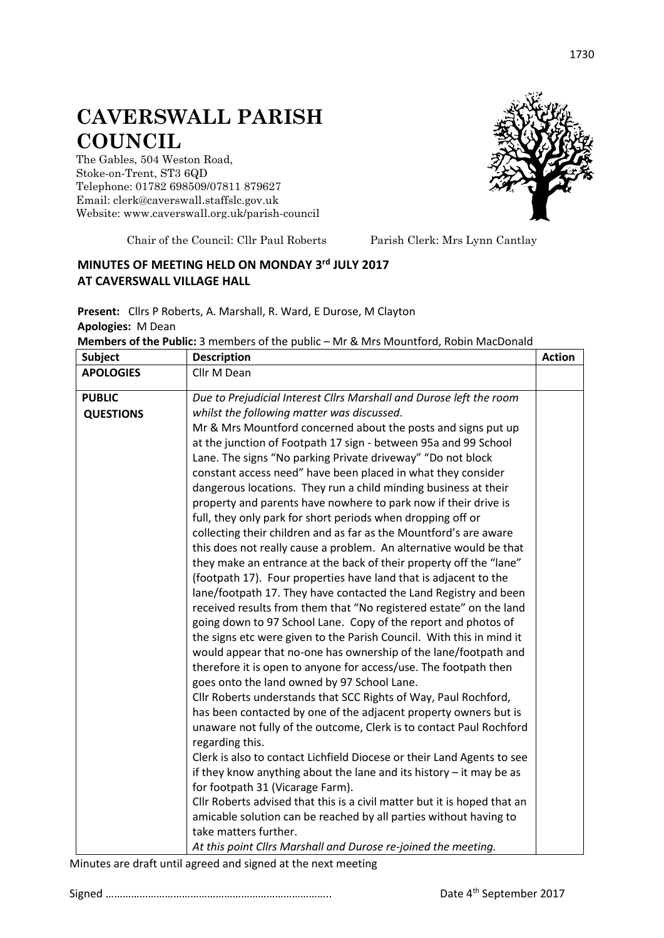## **CAVERSWALL PARISH COUNCIL**

The Gables, 504 Weston Road, Stoke-on-Trent, ST3 6QD Telephone: 01782 698509/07811 879627 Email: clerk@caverswall.staffslc.gov.uk Website: [www.c](http://www.dilhorneparishcouncil.co.uk/)averswall.org.uk/parish-council



Chair of the Council: Cllr Paul Roberts Parish Clerk: Mrs Lynn Cantlay

## **MINUTES OF MEETING HELD ON MONDAY 3 rd JULY 2017 AT CAVERSWALL VILLAGE HALL**

**Present:** Cllrs P Roberts, A. Marshall, R. Ward, E Durose, M Clayton **Apologies:** M Dean

| <b>Subject</b>   | <b>Description</b>                                                                                                                     | <b>Action</b> |
|------------------|----------------------------------------------------------------------------------------------------------------------------------------|---------------|
| <b>APOLOGIES</b> | Cllr M Dean                                                                                                                            |               |
| <b>PUBLIC</b>    | Due to Prejudicial Interest Cllrs Marshall and Durose left the room                                                                    |               |
| <b>QUESTIONS</b> | whilst the following matter was discussed.                                                                                             |               |
|                  | Mr & Mrs Mountford concerned about the posts and signs put up                                                                          |               |
|                  | at the junction of Footpath 17 sign - between 95a and 99 School                                                                        |               |
|                  | Lane. The signs "No parking Private driveway" "Do not block                                                                            |               |
|                  | constant access need" have been placed in what they consider                                                                           |               |
|                  | dangerous locations. They run a child minding business at their                                                                        |               |
|                  | property and parents have nowhere to park now if their drive is                                                                        |               |
|                  | full, they only park for short periods when dropping off or                                                                            |               |
|                  | collecting their children and as far as the Mountford's are aware                                                                      |               |
|                  | this does not really cause a problem. An alternative would be that                                                                     |               |
|                  | they make an entrance at the back of their property off the "lane"                                                                     |               |
|                  | (footpath 17). Four properties have land that is adjacent to the                                                                       |               |
|                  | lane/footpath 17. They have contacted the Land Registry and been<br>received results from them that "No registered estate" on the land |               |
|                  | going down to 97 School Lane. Copy of the report and photos of                                                                         |               |
|                  | the signs etc were given to the Parish Council. With this in mind it                                                                   |               |
|                  | would appear that no-one has ownership of the lane/footpath and                                                                        |               |
|                  | therefore it is open to anyone for access/use. The footpath then                                                                       |               |
|                  | goes onto the land owned by 97 School Lane.                                                                                            |               |
|                  | Cllr Roberts understands that SCC Rights of Way, Paul Rochford,                                                                        |               |
|                  | has been contacted by one of the adjacent property owners but is                                                                       |               |
|                  | unaware not fully of the outcome, Clerk is to contact Paul Rochford                                                                    |               |
|                  | regarding this.                                                                                                                        |               |
|                  | Clerk is also to contact Lichfield Diocese or their Land Agents to see                                                                 |               |
|                  | if they know anything about the lane and its history $-$ it may be as                                                                  |               |
|                  | for footpath 31 (Vicarage Farm).                                                                                                       |               |
|                  | Cllr Roberts advised that this is a civil matter but it is hoped that an                                                               |               |
|                  | amicable solution can be reached by all parties without having to                                                                      |               |
|                  | take matters further.                                                                                                                  |               |
|                  | At this point Cllrs Marshall and Durose re-joined the meeting.                                                                         |               |

Minutes are draft until agreed and signed at the next meeting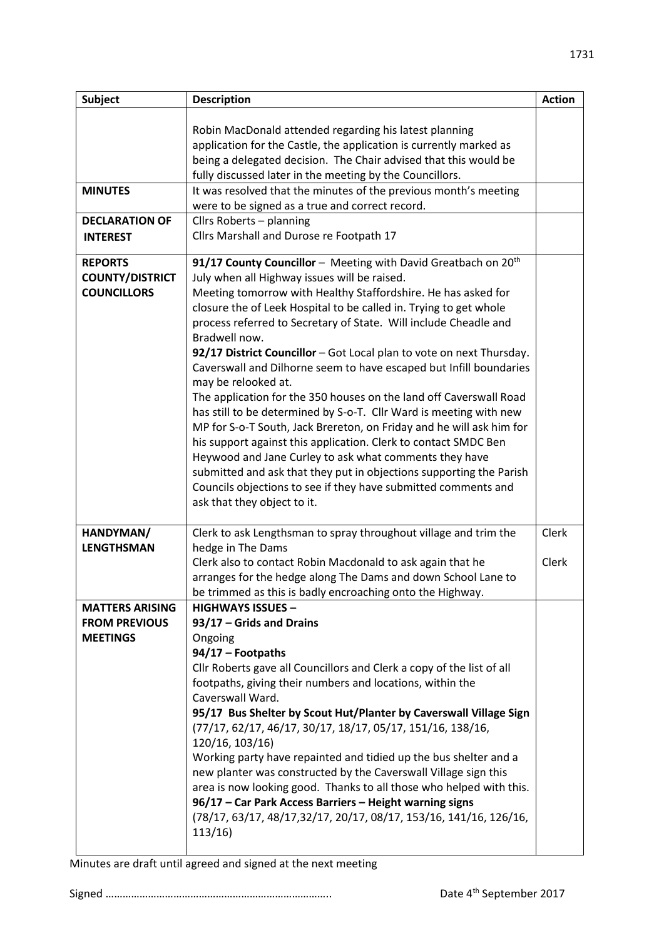| <b>Subject</b>                                                    | <b>Description</b>                                                                                                                                                                                                                                                                                                                                                                                                                                                                                                                                                                                                                                                                                                                                                                                                                                                                                                                                                                                                                      | <b>Action</b>  |
|-------------------------------------------------------------------|-----------------------------------------------------------------------------------------------------------------------------------------------------------------------------------------------------------------------------------------------------------------------------------------------------------------------------------------------------------------------------------------------------------------------------------------------------------------------------------------------------------------------------------------------------------------------------------------------------------------------------------------------------------------------------------------------------------------------------------------------------------------------------------------------------------------------------------------------------------------------------------------------------------------------------------------------------------------------------------------------------------------------------------------|----------------|
| <b>MINUTES</b><br><b>DECLARATION OF</b><br><b>INTEREST</b>        | Robin MacDonald attended regarding his latest planning<br>application for the Castle, the application is currently marked as<br>being a delegated decision. The Chair advised that this would be<br>fully discussed later in the meeting by the Councillors.<br>It was resolved that the minutes of the previous month's meeting<br>were to be signed as a true and correct record.<br>Cllrs Roberts - planning<br>Cllrs Marshall and Durose re Footpath 17                                                                                                                                                                                                                                                                                                                                                                                                                                                                                                                                                                             |                |
| <b>REPORTS</b><br><b>COUNTY/DISTRICT</b><br><b>COUNCILLORS</b>    | 91/17 County Councillor - Meeting with David Greatbach on 20th<br>July when all Highway issues will be raised.<br>Meeting tomorrow with Healthy Staffordshire. He has asked for<br>closure the of Leek Hospital to be called in. Trying to get whole<br>process referred to Secretary of State. Will include Cheadle and<br>Bradwell now.<br>92/17 District Councillor - Got Local plan to vote on next Thursday.<br>Caverswall and Dilhorne seem to have escaped but Infill boundaries<br>may be relooked at.<br>The application for the 350 houses on the land off Caverswall Road<br>has still to be determined by S-o-T. Cllr Ward is meeting with new<br>MP for S-o-T South, Jack Brereton, on Friday and he will ask him for<br>his support against this application. Clerk to contact SMDC Ben<br>Heywood and Jane Curley to ask what comments they have<br>submitted and ask that they put in objections supporting the Parish<br>Councils objections to see if they have submitted comments and<br>ask that they object to it. |                |
| HANDYMAN/<br><b>LENGTHSMAN</b>                                    | Clerk to ask Lengthsman to spray throughout village and trim the<br>hedge in The Dams<br>Clerk also to contact Robin Macdonald to ask again that he<br>arranges for the hedge along The Dams and down School Lane to<br>be trimmed as this is badly encroaching onto the Highway.                                                                                                                                                                                                                                                                                                                                                                                                                                                                                                                                                                                                                                                                                                                                                       | Clerk<br>Clerk |
| <b>MATTERS ARISING</b><br><b>FROM PREVIOUS</b><br><b>MEETINGS</b> | <b>HIGHWAYS ISSUES -</b><br>93/17 - Grids and Drains<br>Ongoing<br>94/17 - Footpaths<br>Cllr Roberts gave all Councillors and Clerk a copy of the list of all<br>footpaths, giving their numbers and locations, within the<br>Caverswall Ward.<br>95/17 Bus Shelter by Scout Hut/Planter by Caverswall Village Sign<br>(77/17, 62/17, 46/17, 30/17, 18/17, 05/17, 151/16, 138/16,<br>120/16, 103/16)<br>Working party have repainted and tidied up the bus shelter and a<br>new planter was constructed by the Caverswall Village sign this<br>area is now looking good. Thanks to all those who helped with this.<br>96/17 - Car Park Access Barriers - Height warning signs<br>(78/17, 63/17, 48/17, 32/17, 20/17, 08/17, 153/16, 141/16, 126/16,<br>113/16                                                                                                                                                                                                                                                                           |                |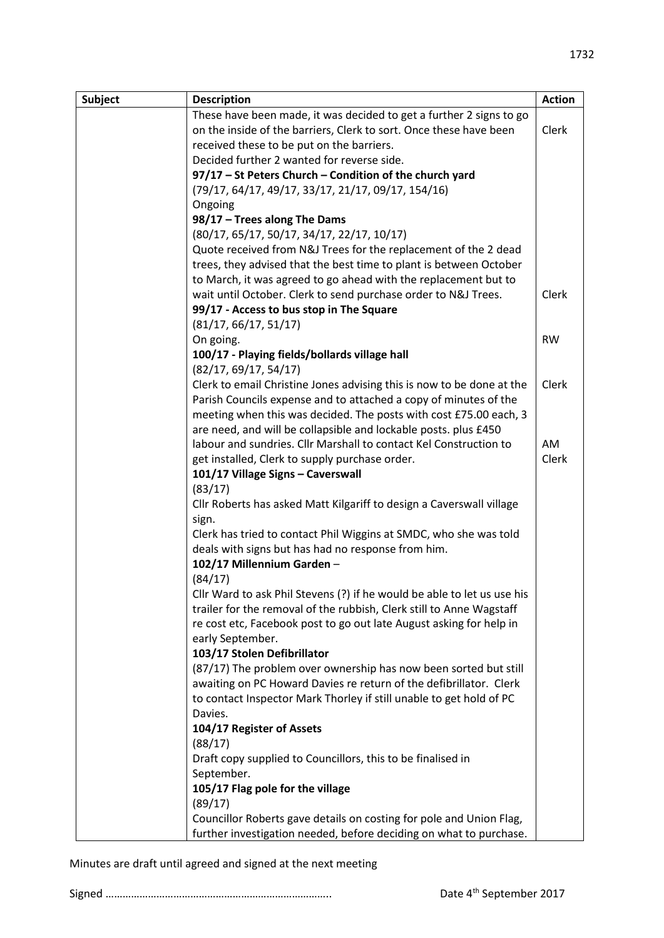| <b>Subject</b> | <b>Description</b>                                                                 | <b>Action</b> |
|----------------|------------------------------------------------------------------------------------|---------------|
|                | These have been made, it was decided to get a further 2 signs to go                |               |
|                | on the inside of the barriers, Clerk to sort. Once these have been                 | <b>Clerk</b>  |
|                | received these to be put on the barriers.                                          |               |
|                | Decided further 2 wanted for reverse side.                                         |               |
|                | 97/17 - St Peters Church - Condition of the church yard                            |               |
|                | (79/17, 64/17, 49/17, 33/17, 21/17, 09/17, 154/16)                                 |               |
|                | Ongoing                                                                            |               |
|                | 98/17 - Trees along The Dams                                                       |               |
|                | (80/17, 65/17, 50/17, 34/17, 22/17, 10/17)                                         |               |
|                | Quote received from N&J Trees for the replacement of the 2 dead                    |               |
|                | trees, they advised that the best time to plant is between October                 |               |
|                | to March, it was agreed to go ahead with the replacement but to                    |               |
|                | wait until October. Clerk to send purchase order to N&J Trees.                     | Clerk         |
|                | 99/17 - Access to bus stop in The Square                                           |               |
|                | (81/17, 66/17, 51/17)                                                              |               |
|                | On going.                                                                          | <b>RW</b>     |
|                | 100/17 - Playing fields/bollards village hall                                      |               |
|                | (82/17, 69/17, 54/17)                                                              |               |
|                | Clerk to email Christine Jones advising this is now to be done at the              | Clerk         |
|                | Parish Councils expense and to attached a copy of minutes of the                   |               |
|                | meeting when this was decided. The posts with cost £75.00 each, 3                  |               |
|                | are need, and will be collapsible and lockable posts. plus £450                    |               |
|                | labour and sundries. Cllr Marshall to contact Kel Construction to                  | <b>AM</b>     |
|                | get installed, Clerk to supply purchase order.                                     | Clerk         |
|                | 101/17 Village Signs - Caverswall                                                  |               |
|                | (83/17)                                                                            |               |
|                | Cllr Roberts has asked Matt Kilgariff to design a Caverswall village               |               |
|                | sign.                                                                              |               |
|                | Clerk has tried to contact Phil Wiggins at SMDC, who she was told                  |               |
|                | deals with signs but has had no response from him.                                 |               |
|                | 102/17 Millennium Garden-                                                          |               |
|                | (84/17)<br>Cllr Ward to ask Phil Stevens (?) if he would be able to let us use his |               |
|                | trailer for the removal of the rubbish, Clerk still to Anne Wagstaff               |               |
|                | re cost etc, Facebook post to go out late August asking for help in                |               |
|                | early September.                                                                   |               |
|                | 103/17 Stolen Defibrillator                                                        |               |
|                | (87/17) The problem over ownership has now been sorted but still                   |               |
|                | awaiting on PC Howard Davies re return of the defibrillator. Clerk                 |               |
|                | to contact Inspector Mark Thorley if still unable to get hold of PC                |               |
|                | Davies.                                                                            |               |
|                | 104/17 Register of Assets                                                          |               |
|                | (88/17)                                                                            |               |
|                | Draft copy supplied to Councillors, this to be finalised in                        |               |
|                | September.                                                                         |               |
|                | 105/17 Flag pole for the village                                                   |               |
|                | (89/17)                                                                            |               |
|                | Councillor Roberts gave details on costing for pole and Union Flag,                |               |
|                | further investigation needed, before deciding on what to purchase.                 |               |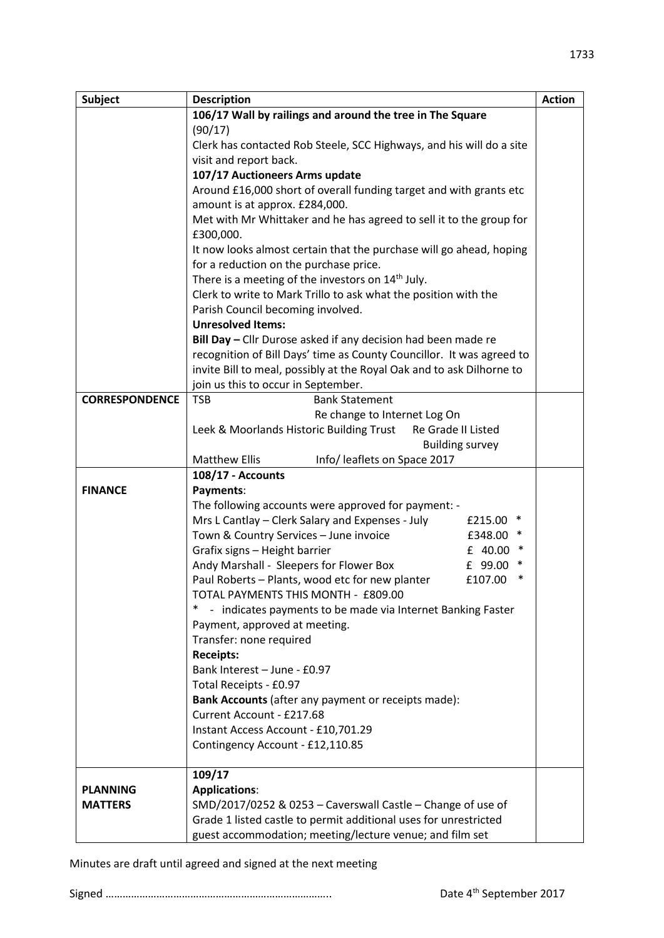| <b>Subject</b>        | <b>Description</b>                                                                                           | <b>Action</b> |
|-----------------------|--------------------------------------------------------------------------------------------------------------|---------------|
|                       | 106/17 Wall by railings and around the tree in The Square                                                    |               |
|                       | (90/17)                                                                                                      |               |
|                       | Clerk has contacted Rob Steele, SCC Highways, and his will do a site                                         |               |
|                       | visit and report back.                                                                                       |               |
|                       | 107/17 Auctioneers Arms update                                                                               |               |
|                       | Around £16,000 short of overall funding target and with grants etc                                           |               |
|                       | amount is at approx. £284,000.                                                                               |               |
|                       | Met with Mr Whittaker and he has agreed to sell it to the group for                                          |               |
|                       | £300,000.                                                                                                    |               |
|                       | It now looks almost certain that the purchase will go ahead, hoping                                          |               |
|                       | for a reduction on the purchase price.                                                                       |               |
|                       | There is a meeting of the investors on 14 <sup>th</sup> July.                                                |               |
|                       | Clerk to write to Mark Trillo to ask what the position with the                                              |               |
|                       | Parish Council becoming involved.                                                                            |               |
|                       | <b>Unresolved Items:</b>                                                                                     |               |
|                       | Bill Day - Cllr Durose asked if any decision had been made re                                                |               |
|                       | recognition of Bill Days' time as County Councillor. It was agreed to                                        |               |
|                       | invite Bill to meal, possibly at the Royal Oak and to ask Dilhorne to<br>join us this to occur in September. |               |
| <b>CORRESPONDENCE</b> | <b>TSB</b><br><b>Bank Statement</b>                                                                          |               |
|                       | Re change to Internet Log On                                                                                 |               |
|                       | Leek & Moorlands Historic Building Trust<br>Re Grade II Listed                                               |               |
|                       | <b>Building survey</b>                                                                                       |               |
|                       | <b>Matthew Ellis</b><br>Info/ leaflets on Space 2017                                                         |               |
|                       | 108/17 - Accounts                                                                                            |               |
| <b>FINANCE</b>        | Payments:                                                                                                    |               |
|                       | The following accounts were approved for payment: -                                                          |               |
|                       | Mrs L Cantlay – Clerk Salary and Expenses - July<br>∗<br>£215.00                                             |               |
|                       | Town & Country Services - June invoice<br>£348.00<br>∗                                                       |               |
|                       | Grafix signs - Height barrier<br>£ 40.00 *                                                                   |               |
|                       | Andy Marshall - Sleepers for Flower Box<br>£ 99.00<br>$\ast$                                                 |               |
|                       | $\ast$<br>Paul Roberts - Plants, wood etc for new planter<br>£107.00                                         |               |
|                       | TOTAL PAYMENTS THIS MONTH - £809.00                                                                          |               |
|                       | $\ast$<br>indicates payments to be made via Internet Banking Faster                                          |               |
|                       | Payment, approved at meeting.                                                                                |               |
|                       | Transfer: none required                                                                                      |               |
|                       | <b>Receipts:</b>                                                                                             |               |
|                       | Bank Interest - June - £0.97                                                                                 |               |
|                       | Total Receipts - £0.97                                                                                       |               |
|                       | Bank Accounts (after any payment or receipts made):<br>Current Account - £217.68                             |               |
|                       | Instant Access Account - £10,701.29                                                                          |               |
|                       | Contingency Account - £12,110.85                                                                             |               |
|                       |                                                                                                              |               |
|                       | 109/17                                                                                                       |               |
| <b>PLANNING</b>       | <b>Applications:</b>                                                                                         |               |
| <b>MATTERS</b>        | SMD/2017/0252 & 0253 - Caverswall Castle - Change of use of                                                  |               |
|                       | Grade 1 listed castle to permit additional uses for unrestricted                                             |               |
|                       | guest accommodation; meeting/lecture venue; and film set                                                     |               |